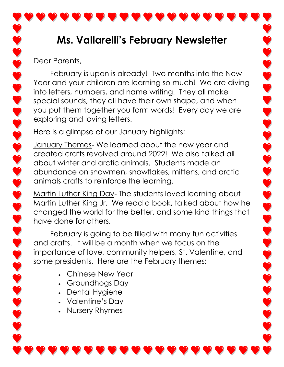## **Ms. Vallarelli's February Newsletter**

Dear Parents,

February is upon is already! Two months into the New Year and your children are learning so much! We are diving into letters, numbers, and name writing. They all make special sounds, they all have their own shape, and when you put them together you form words! Every day we are exploring and loving letters.

Here is a glimpse of our January highlights:

January Themes- We learned about the new year and created crafts revolved around 2022! We also talked all about winter and arctic animals. Students made an abundance on snowmen, snowflakes, mittens, and arctic animals crafts to reinforce the learning.

Martin Luther King Day- The students loved learning about Martin Luther King Jr. We read a book, talked about how he changed the world for the better, and some kind things that have done for others.

February is going to be filled with many fun activities and crafts. It will be a month when we focus on the importance of love, community helpers, St. Valentine, and some presidents. Here are the February themes:

- Chinese New Year
- Groundhogs Day
- Dental Hygiene
- Valentine's Day
- Nursery Rhymes